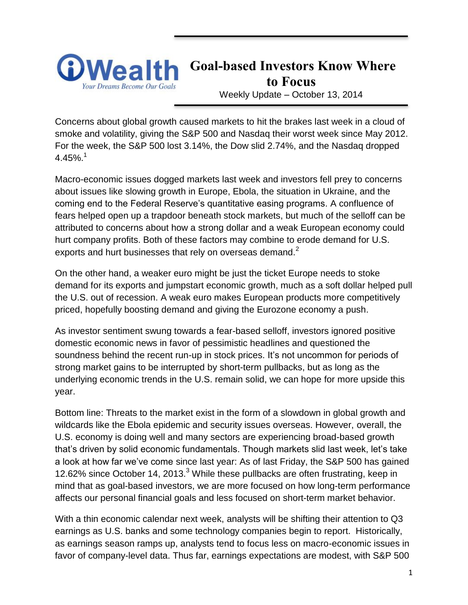

**Goal-based Investors Know Where to Focus** Weekly Update – October 13, 2014

Concerns about global growth caused markets to hit the brakes last week in a cloud of smoke and volatility, giving the S&P 500 and Nasdaq their worst week since May 2012. For the week, the S&P 500 lost 3.14%, the Dow slid 2.74%, and the Nasdaq dropped 4.45%.<sup>1</sup>

Macro-economic issues dogged markets last week and investors fell prey to concerns about issues like slowing growth in Europe, Ebola, the situation in Ukraine, and the coming end to the Federal Reserve's quantitative easing programs. A confluence of fears helped open up a trapdoor beneath stock markets, but much of the selloff can be attributed to concerns about how a strong dollar and a weak European economy could hurt company profits. Both of these factors may combine to erode demand for U.S. exports and hurt businesses that rely on overseas demand.<sup>2</sup>

On the other hand, a weaker euro might be just the ticket Europe needs to stoke demand for its exports and jumpstart economic growth, much as a soft dollar helped pull the U.S. out of recession. A weak euro makes European products more competitively priced, hopefully boosting demand and giving the Eurozone economy a push.

As investor sentiment swung towards a fear-based selloff, investors ignored positive domestic economic news in favor of pessimistic headlines and questioned the soundness behind the recent run-up in stock prices. It's not uncommon for periods of strong market gains to be interrupted by short-term pullbacks, but as long as the underlying economic trends in the U.S. remain solid, we can hope for more upside this year.

Bottom line: Threats to the market exist in the form of a slowdown in global growth and wildcards like the Ebola epidemic and security issues overseas. However, overall, the U.S. economy is doing well and many sectors are experiencing broad-based growth that's driven by solid economic fundamentals. Though markets slid last week, let's take a look at how far we've come since last year: As of last Friday, the S&P 500 has gained 12.62% since October 14, 2013. $3$  While these pullbacks are often frustrating, keep in mind that as goal-based investors, we are more focused on how long-term performance affects our personal financial goals and less focused on short-term market behavior.

With a thin economic calendar next week, analysts will be shifting their attention to Q3 earnings as U.S. banks and some technology companies begin to report. Historically, as earnings season ramps up, analysts tend to focus less on macro-economic issues in favor of company-level data. Thus far, earnings expectations are modest, with S&P 500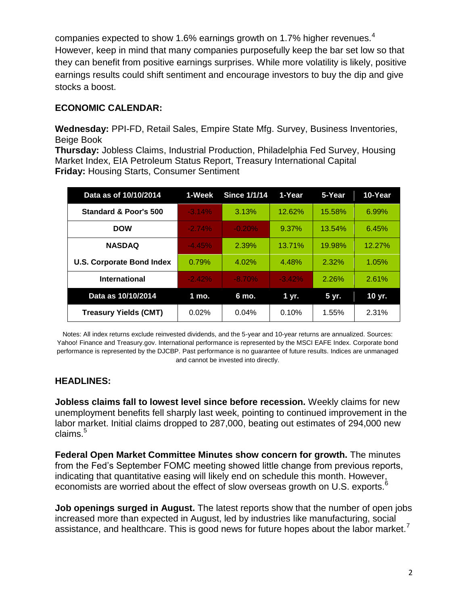companies expected to show 1.6% earnings growth on 1.7% higher revenues.<sup>4</sup> However, keep in mind that many companies purposefully keep the bar set low so that they can benefit from positive earnings surprises. While more volatility is likely, positive earnings results could shift sentiment and encourage investors to buy the dip and give stocks a boost.

### **ECONOMIC CALENDAR:**

**Wednesday:** PPI-FD, Retail Sales, Empire State Mfg. Survey, Business Inventories, Beige Book

**Thursday:** Jobless Claims, Industrial Production, Philadelphia Fed Survey, Housing Market Index, EIA Petroleum Status Report, Treasury International Capital **Friday:** Housing Starts, Consumer Sentiment

| Data as of 10/10/2014            | 1-Week   | <b>Since 1/1/14</b> | 1-Year   | 5-Year | 10-Year |
|----------------------------------|----------|---------------------|----------|--------|---------|
| Standard & Poor's 500            | $-3.14%$ | 3.13%               | 12.62%   | 15.58% | 6.99%   |
| <b>DOW</b>                       | $-2.74%$ | $-0.20%$            | 9.37%    | 13.54% | 6.45%   |
| <b>NASDAQ</b>                    | $-4.45%$ | 2.39%               | 13.71%   | 19.98% | 12.27%  |
| <b>U.S. Corporate Bond Index</b> | 0.79%    | 4.02%               | 4.48%    | 2.32%  | 1.05%   |
| International                    | $-2.42%$ | $-8.70%$            | $-3.42%$ | 2.26%  | 2.61%   |
| Data as 10/10/2014               | 1 mo.    | 6 mo.               | 1 vr.    | 5 yr.  | 10 yr.  |
| <b>Treasury Yields (CMT)</b>     | 0.02%    | 0.04%               | 0.10%    | 1.55%  | 2.31%   |

Notes: All index returns exclude reinvested dividends, and the 5-year and 10-year returns are annualized. Sources: Yahoo! Finance and [Treasury.gov.](http://treasury.gov/) International performance is represented by the MSCI EAFE Index. Corporate bond performance is represented by the DJCBP. Past performance is no guarantee of future results. Indices are unmanaged and cannot be invested into directly.

#### **HEADLINES:**

**Jobless claims fall to lowest level since before recession.** Weekly claims for new unemployment benefits fell sharply last week, pointing to continued improvement in the labor market. Initial claims dropped to 287,000, beating out estimates of 294,000 new claims. $5$ 

**Federal Open Market Committee Minutes show concern for growth.** The minutes from the Fed's September FOMC meeting showed little change from previous reports, indicating that quantitative easing will likely end on schedule this month. However, economists are worried about the effect of slow overseas growth on U.S. exports. $6$ 

**Job openings surged in August.** The latest reports show that the number of open jobs increased more than expected in August, led by industries like manufacturing, social assistance, and healthcare. This is good news for future hopes about the labor market.<sup>7</sup>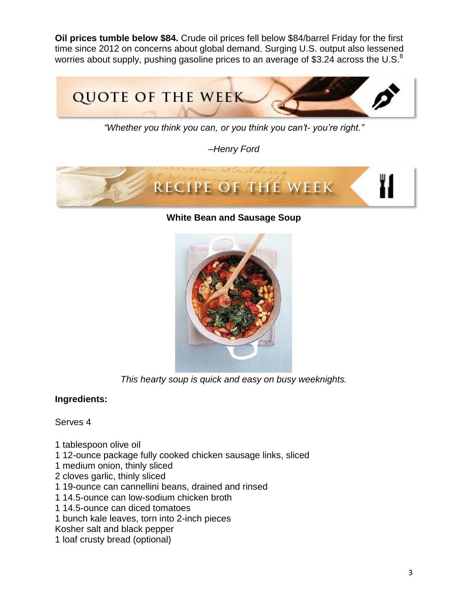**Oil prices tumble below \$84.** Crude oil prices fell below \$84/barrel Friday for the first time since 2012 on concerns about global demand. Surging U.S. output also lessened worries about supply, pushing gasoline prices to an average of \$3.24 across the U.S.<sup>8</sup>



*"Whether you think you can, or you think you can't- you're right."*

*–Henry Ford*



**White Bean and Sausage Soup**



*This hearty soup is quick and easy on busy weeknights.*

### **Ingredients:**

Serves 4

- 1 tablespoon olive oil
- 1 12-ounce package fully cooked chicken sausage links, sliced
- 1 medium onion, thinly sliced
- 2 cloves garlic, thinly sliced
- 1 19-ounce can cannellini beans, drained and rinsed
- 1 14.5-ounce can low-sodium chicken broth
- 1 14.5-ounce can diced tomatoes
- 1 bunch kale leaves, torn into 2-inch pieces
- Kosher salt and black pepper
- 1 loaf crusty bread (optional)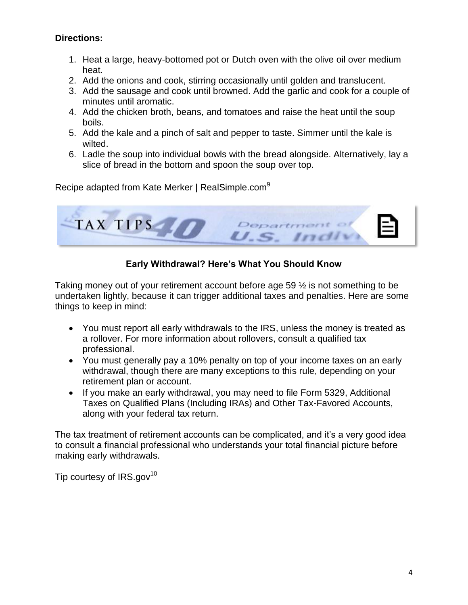### **Directions:**

- 1. Heat a large, heavy-bottomed pot or Dutch oven with the olive oil over medium heat.
- 2. Add the onions and cook, stirring occasionally until golden and translucent.
- 3. Add the sausage and cook until browned. Add the garlic and cook for a couple of minutes until aromatic.
- 4. Add the chicken broth, beans, and tomatoes and raise the heat until the soup boils.
- 5. Add the kale and a pinch of salt and pepper to taste. Simmer until the kale is wilted.
- 6. Ladle the soup into individual bowls with the bread alongside. Alternatively, lay a slice of bread in the bottom and spoon the soup over top.

Recipe adapted from Kate Merker | RealSimple.com<sup>9</sup>



# **Early Withdrawal? Here's What You Should Know**

Taking money out of your retirement account before age 59 ½ is not something to be undertaken lightly, because it can trigger additional taxes and penalties. Here are some things to keep in mind:

- You must report all early withdrawals to the IRS, unless the money is treated as a rollover. For more information about rollovers, consult a qualified tax professional.
- You must generally pay a 10% penalty on top of your income taxes on an early withdrawal, though there are many exceptions to this rule, depending on your retirement plan or account.
- If you make an early withdrawal, you may need to file Form 5329, Additional Taxes on Qualified Plans (Including IRAs) and Other Tax-Favored Accounts, along with your federal tax return.

The tax treatment of retirement accounts can be complicated, and it's a very good idea to consult a financial professional who understands your total financial picture before making early withdrawals.

Tip courtesy of  $IRS.gov^{10}$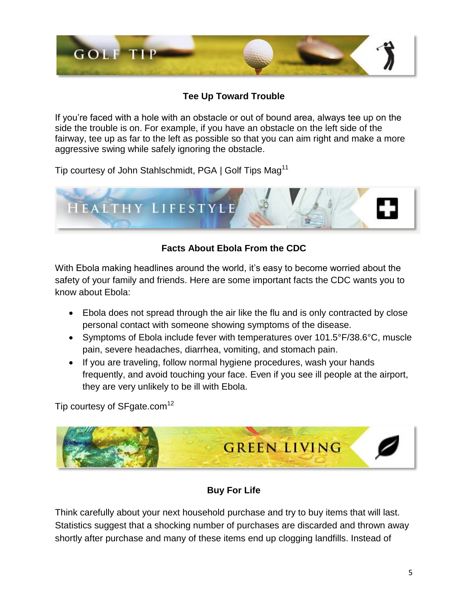

# **Tee Up Toward Trouble**

If you're faced with a hole with an obstacle or out of bound area, always tee up on the side the trouble is on. For example, if you have an obstacle on the left side of the fairway, tee up as far to the left as possible so that you can aim right and make a more aggressive swing while safely ignoring the obstacle.

Tip courtesy of John Stahlschmidt, PGA | Golf Tips Mag<sup>11</sup>



# **Facts About Ebola From the CDC**

With Ebola making headlines around the world, it's easy to become worried about the safety of your family and friends. Here are some important facts the CDC wants you to know about Ebola:

- Ebola does not spread through the air like the flu and is only contracted by close personal contact with someone showing symptoms of the disease.
- Symptoms of Ebola include fever with temperatures over 101.5°F/38.6°C, muscle pain, severe headaches, diarrhea, vomiting, and stomach pain.
- If you are traveling, follow normal hygiene procedures, wash your hands frequently, and avoid touching your face. Even if you see ill people at the airport, they are very unlikely to be ill with Ebola.

Tip courtesy of SFgate.com<sup>12</sup>



# **Buy For Life**

Think carefully about your next household purchase and try to buy items that will last. Statistics suggest that a shocking number of purchases are discarded and thrown away shortly after purchase and many of these items end up clogging landfills. Instead of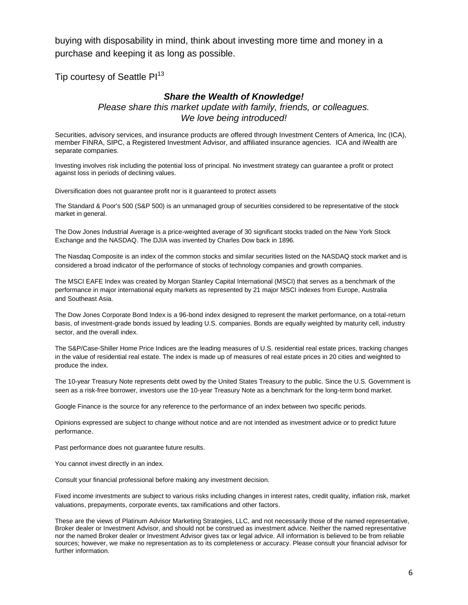buying with disposability in mind, think about investing more time and money in a purchase and keeping it as long as possible.

Tip courtesy of Seattle Pl<sup>13</sup>

#### *Share the Wealth of Knowledge!*

*Please share this market update with family, friends, or colleagues. We love being introduced!*

Securities, advisory services, and insurance products are offered through Investment Centers of America, Inc (ICA), member FINRA, SIPC, a Registered Investment Advisor, and affiliated insurance agencies. ICA and iWealth are separate companies.

Investing involves risk including the potential loss of principal. No investment strategy can guarantee a profit or protect against loss in periods of declining values.

Diversification does not guarantee profit nor is it guaranteed to protect assets

The Standard & Poor's 500 (S&P 500) is an unmanaged group of securities considered to be representative of the stock market in general.

The Dow Jones Industrial Average is a price-weighted average of 30 significant stocks traded on the New York Stock Exchange and the NASDAQ. The DJIA was invented by Charles Dow back in 1896.

The Nasdaq Composite is an index of the common stocks and similar securities listed on the NASDAQ stock market and is considered a broad indicator of the performance of stocks of technology companies and growth companies.

The MSCI EAFE Index was created by Morgan Stanley Capital International (MSCI) that serves as a benchmark of the performance in major international equity markets as represented by 21 major MSCI indexes from Europe, Australia and Southeast Asia.

The Dow Jones Corporate Bond Index is a 96-bond index designed to represent the market performance, on a total-return basis, of investment-grade bonds issued by leading U.S. companies. Bonds are equally weighted by maturity cell, industry sector, and the overall index.

The S&P/Case-Shiller Home Price Indices are the leading measures of U.S. residential real estate prices, tracking changes in the value of residential real estate. The index is made up of measures of real estate prices in 20 cities and weighted to produce the index.

The 10-year Treasury Note represents debt owed by the United States Treasury to the public. Since the U.S. Government is seen as a risk-free borrower, investors use the 10-year Treasury Note as a benchmark for the long-term bond market.

Google Finance is the source for any reference to the performance of an index between two specific periods.

Opinions expressed are subject to change without notice and are not intended as investment advice or to predict future performance.

Past performance does not guarantee future results.

You cannot invest directly in an index.

Consult your financial professional before making any investment decision.

Fixed income investments are subject to various risks including changes in interest rates, credit quality, inflation risk, market valuations, prepayments, corporate events, tax ramifications and other factors.

These are the views of Platinum Advisor Marketing Strategies, LLC, and not necessarily those of the named representative, Broker dealer or Investment Advisor, and should not be construed as investment advice. Neither the named representative nor the named Broker dealer or Investment Advisor gives tax or legal advice. All information is believed to be from reliable sources; however, we make no representation as to its completeness or accuracy. Please consult your financial advisor for further information.